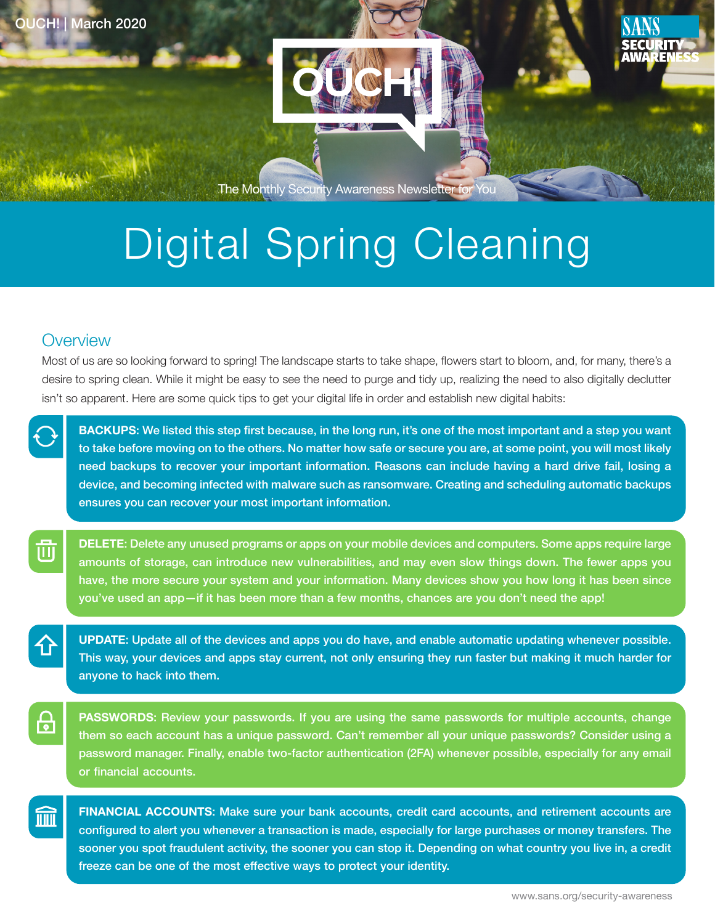



The Monthly Security Awareness Newsletter for You

## Digital Spring Cleaning

## **Overview**

郦

Most of us are so looking forward to spring! The landscape starts to take shape, flowers start to bloom, and, for many, there's a desire to spring clean. While it might be easy to see the need to purge and tidy up, realizing the need to also digitally declutter isn't so apparent. Here are some quick tips to get your digital life in order and establish new digital habits:

BACKUPS: We listed this step first because, in the long run, it's one of the most important and a step you want to take before moving on to the others. No matter how safe or secure you are, at some point, you will most likely need backups to recover your important information. Reasons can include having a hard drive fail, losing a device, and becoming infected with malware such as ransomware. Creating and scheduling automatic backups ensures you can recover your most important information.

**DELETE:** Delete any unused programs or apps on your mobile devices and computers. Some apps require large amounts of storage, can introduce new vulnerabilities, and may even slow things down. The fewer apps you have, the more secure your system and your information. Many devices show you how long it has been since you've used an app—if it has been more than a few months, chances are you don't need the app!

UPDATE: Update all of the devices and apps you do have, and enable automatic updating whenever possible. This way, your devices and apps stay current, not only ensuring they run faster but making it much harder for anyone to hack into them.

**PASSWORDS:** Review your passwords. If you are using the same passwords for multiple accounts, change them so each account has a unique password. Can't remember all your unique passwords? Consider using a password manager. Finally, enable two-factor authentication (2FA) whenever possible, especially for any email or financial accounts.

FINANCIAL ACCOUNTS: Make sure your bank accounts, credit card accounts, and retirement accounts are configured to alert you whenever a transaction is made, especially for large purchases or money transfers. The sooner you spot fraudulent activity, the sooner you can stop it. Depending on what country you live in, a credit freeze can be one of the most effective ways to protect your identity.